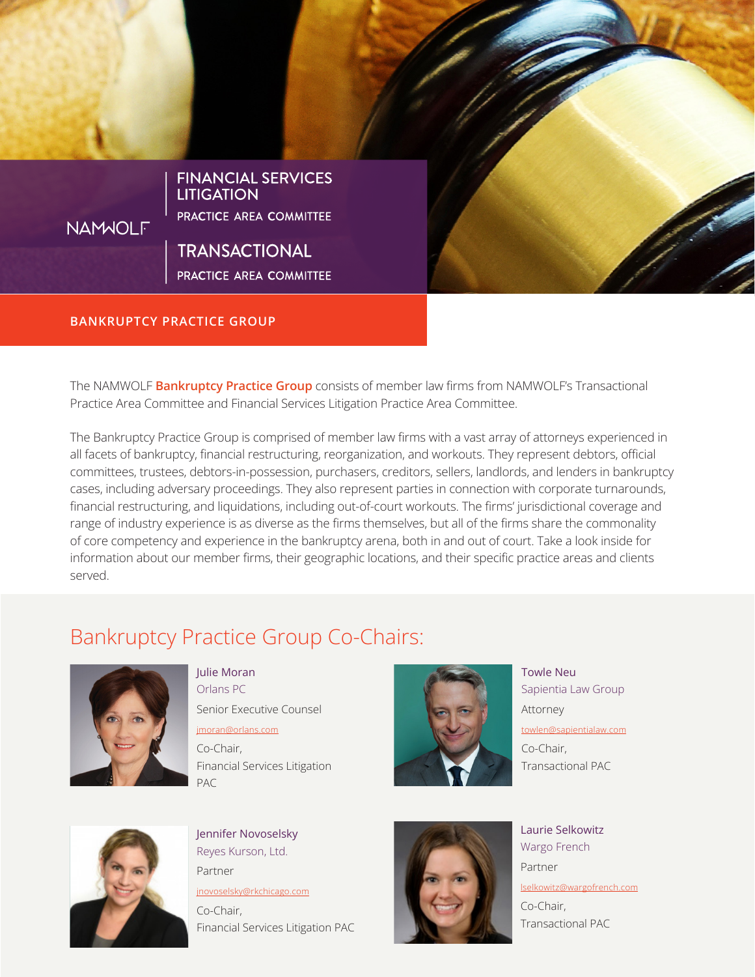

### BANKRUPTCY PRACTICE GROUP

The NAMWOLF **Bankruptcy Practice Group** consists of member law firms from NAMWOLF's Transactional Practice Area Committee and Financial Services Litigation Practice Area Committee.

The Bankruptcy Practice Group is comprised of member law firms with a vast array of attorneys experienced in all facets of bankruptcy, financial restructuring, reorganization, and workouts. They represent debtors, official committees, trustees, debtors-in-possession, purchasers, creditors, sellers, landlords, and lenders in bankruptcy cases, including adversary proceedings. They also represent parties in connection with corporate turnarounds, financial restructuring, and liquidations, including out-of-court workouts. The firms' jurisdictional coverage and range of industry experience is as diverse as the firms themselves, but all of the firms share the commonality of core competency and experience in the bankruptcy arena, both in and out of court. Take a look inside for information about our member firms, their geographic locations, and their specific practice areas and clients served.

# Bankruptcy Practice Group Co-Chairs:



Julie Moran Orlans PC

Senior Executive Counsel

[jmoran@orlans.com](mailto:jmoran%40orlans.com?subject=) Co-Chair, Financial Services Litigation PAC



Towle Neu Sapientia Law Group Attorney [towlen@sapientialaw.com](mailto:towlen%40sapientialaw.com?subject=) Co-Chair, Transactional PAC



Jennifer Novoselsky Reyes Kurson, Ltd. Partner

[jnovoselsky@rkchicago.com](mailto:jnovoselsky%40rkchicago.com?subject=)

Co-Chair, Financial Services Litigation PAC



Laurie Selkowitz Wargo French Partner [lselkowitz@wargofrench.com](mailto:lselkowitz%40wargofrench.com?subject=) Co-Chair, Transactional PAC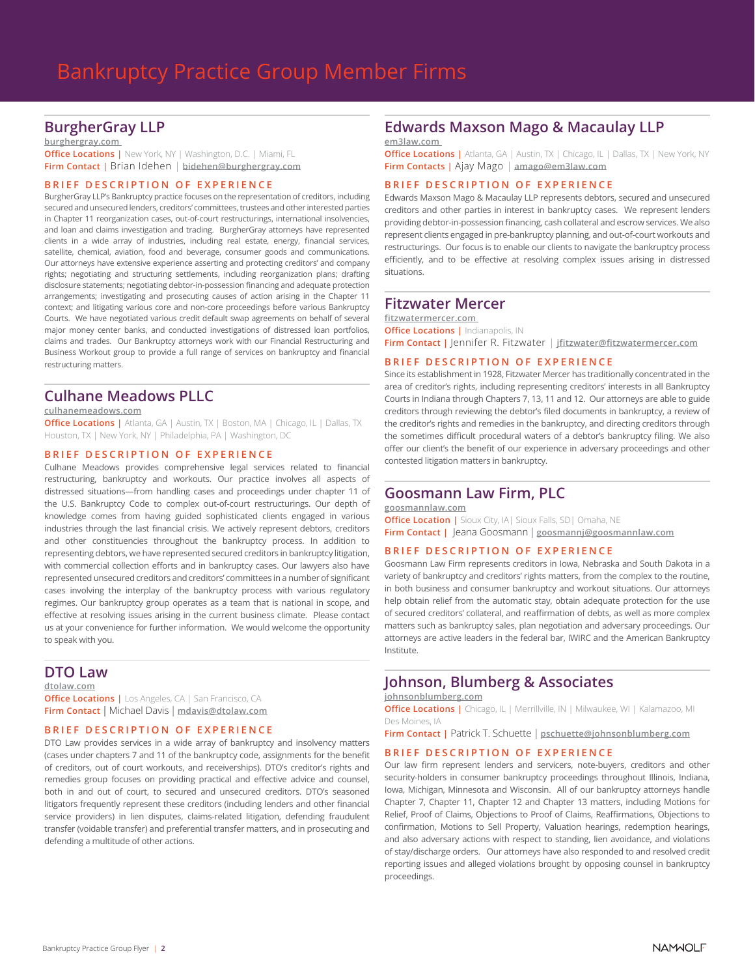### BurgherGray LLP

[burghergray.com](http://www.burghergray.com  ) 

**Office Locations | New York, NY | Washington, D.C. | Miami, FL** Firm Contact | Brian Idehen | bidehen@burghergray.com

#### BRIEF DESCRIPTION OF EXPERIENCE

BurgherGray LLP's Bankruptcy practice focuses on the representation of creditors, including secured and unsecured lenders, creditors' committees, trustees and other interested parties in Chapter 11 reorganization cases, out-of-court restructurings, international insolvencies, and loan and claims investigation and trading. BurgherGray attorneys have represented clients in a wide array of industries, including real estate, energy, financial services, satellite, chemical, aviation, food and beverage, consumer goods and communications. Our attorneys have extensive experience asserting and protecting creditors' and company rights; negotiating and structuring settlements, including reorganization plans; drafting disclosure statements; negotiating debtor-in-possession financing and adequate protection arrangements; investigating and prosecuting causes of action arising in the Chapter 11 context; and litigating various core and non-core proceedings before various Bankruptcy Courts. We have negotiated various credit default swap agreements on behalf of several major money center banks, and conducted investigations of distressed loan portfolios, claims and trades. Our Bankruptcy attorneys work with our Financial Restructuring and Business Workout group to provide a full range of services on bankruptcy and financial restructuring matters.

# Culhane Meadows PLLC

### culhanemeadows.com

**Office Locations |** Atlanta, GA | Austin, TX | Boston, MA | Chicago, IL | Dallas, TX Houston, TX | New York, NY | Philadelphia, PA | Washington, DC

### BRIEF DESCRIPTION OF EXPERIENCE

Culhane Meadows provides comprehensive legal services related to financial restructuring, bankruptcy and workouts. Our practice involves all aspects of distressed situations—from handling cases and proceedings under chapter 11 of the U.S. Bankruptcy Code to complex out-of-court restructurings. Our depth of knowledge comes from having guided sophisticated clients engaged in various industries through the last financial crisis. We actively represent debtors, creditors and other constituencies throughout the bankruptcy process. In addition to representing debtors, we have represented secured creditors in bankruptcy litigation, with commercial collection efforts and in bankruptcy cases. Our lawyers also have represented unsecured creditors and creditors' committees in a number of significant cases involving the interplay of the bankruptcy process with various regulatory regimes. Our bankruptcy group operates as a team that is national in scope, and effective at resolving issues arising in the current business climate. Please contact us at your convenience for further information. We would welcome the opportunity to speak with you.

### DTO Law

#### dtolaw.com

**Office Locations |** Los Angeles, CA | San Francisco, CA Firm Contact | Michael Davis | mdavis@dtolaw.com

#### BRIEF DESCRIPTION OF EXPERIENCE

DTO Law provides services in a wide array of bankruptcy and insolvency matters (cases under chapters 7 and 11 of the bankruptcy code, assignments for the benefit of creditors, out of court workouts, and receiverships). DTO's creditor's rights and remedies group focuses on providing practical and effective advice and counsel, both in and out of court, to secured and unsecured creditors. DTO's seasoned litigators frequently represent these creditors (including lenders and other financial service providers) in lien disputes, claims-related litigation, defending fraudulent transfer (voidable transfer) and preferential transfer matters, and in prosecuting and defending a multitude of other actions.

### Edwards Maxson Mago & Macaulay LLP

em3la[w.com](http://www.burghergray.com  ) 

**Office Locations |** Atlanta, GA | Austin, TX | Chicago, IL | Dallas, TX | New York, NY Firm Contacts | Ajay Mago | amago@em3law.com

#### BRIEF DESCRIPTION OF EXPERIENCE

Edwards Maxson Mago & Macaulay LLP represents debtors, secured and unsecured creditors and other parties in interest in bankruptcy cases. We represent lenders providing debtor-in-possession financing, cash collateral and escrow services. We also represent clients engaged in pre-bankruptcy planning, and out-of-court workouts and restructurings. Our focus is to enable our clients to navigate the bankruptcy process efficiently, and to be effective at resolving complex issues arising in distressed situations.

### Fitzwater Mercer

fitzwatermercer[.com](http://www.burghergray.com  )  **Office Locations | Indianapolis, IN** Firm Contact | |ennifer R. Fitzwater | jfitzwater@fitzwatermercer.com

### BRIEF DESCRIPTION OF EXPERIENCE

Since its establishment in 1928, Fitzwater Mercer has traditionally concentrated in the area of creditor's rights, including representing creditors' interests in all Bankruptcy Courts in Indiana through Chapters 7, 13, 11 and 12. Our attorneys are able to guide creditors through reviewing the debtor's filed documents in bankruptcy, a review of the creditor's rights and remedies in the bankruptcy, and directing creditors through the sometimes difficult procedural waters of a debtor's bankruptcy filing. We also offer our client's the benefit of our experience in adversary proceedings and other contested litigation matters in bankruptcy.

### Goosmann Law Firm, PLC

#### goosmannlaw[.com](http://www.decg.com)

**Office Location | Sioux City, IA | Sioux Falls, SD | Omaha, NE** Firm Contact | Jeana Goosmann | goosmannj@goosmannlaw.com

### BRIEF DESCRIPTION OF EXPERIENCE

Goosmann Law Firm represents creditors in Iowa, Nebraska and South Dakota in a variety of bankruptcy and creditors' rights matters, from the complex to the routine, in both business and consumer bankruptcy and workout situations. Our attorneys help obtain relief from the automatic stay, obtain adequate protection for the use of secured creditors' collateral, and reaffirmation of debts, as well as more complex matters such as bankruptcy sales, plan negotiation and adversary proceedings. Our attorneys are active leaders in the federal bar, IWIRC and the American Bankruptcy Institute.

### Johnson, Blumberg & Associates

### johnsonblumberg[.com](http://culhanemeadows.com)

**Office Locations |** Chicago, IL | Merrillville, IN | Milwaukee, WI | Kalamazoo, MI Des Moines, IA

Firm Contact | Patrick T. Schuette | pschuette[@johnsonblumberg.com](mailto:slewonski%40culhanemeadows.com?subject=)

#### BRIEF DESCRIPTION OF EXPERIENCE

Our law firm represent lenders and servicers, note-buyers, creditors and other security-holders in consumer bankruptcy proceedings throughout Illinois, Indiana, Iowa, Michigan, Minnesota and Wisconsin. All of our bankruptcy attorneys handle Chapter 7, Chapter 11, Chapter 12 and Chapter 13 matters, including Motions for Relief, Proof of Claims, Objections to Proof of Claims, Reaffirmations, Objections to confirmation, Motions to Sell Property, Valuation hearings, redemption hearings, and also adversary actions with respect to standing, lien avoidance, and violations of stay/discharge orders. Our attorneys have also responded to and resolved credit reporting issues and alleged violations brought by opposing counsel in bankruptcy proceedings.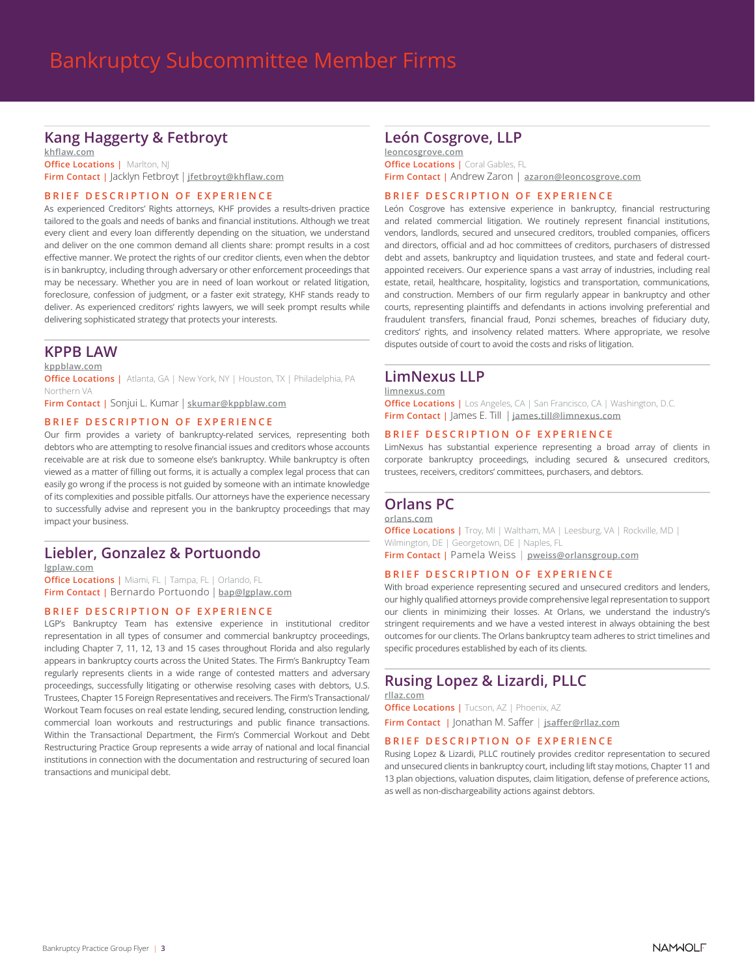# Kang Haggerty & Fetbroyt

khflaw.com **Office Locations | Marlton, NJ** Firm Contact | Jacklyn Fetbroyt | jfetbroyt@khflaw.com

### BRIEF DESCRIPTION OF EXPERIENCE

As experienced Creditors' Rights attorneys, KHF provides a results-driven practice tailored to the goals and needs of banks and financial institutions. Although we treat every client and every loan differently depending on the situation, we understand and deliver on the one common demand all clients share: prompt results in a cost effective manner. We protect the rights of our creditor clients, even when the debtor is in bankruptcy, including through adversary or other enforcement proceedings that may be necessary. Whether you are in need of loan workout or related litigation, foreclosure, confession of judgment, or a faster exit strategy, KHF stands ready to deliver. As experienced creditors' rights lawyers, we will seek prompt results while delivering sophisticated strategy that protects your interests.

### KPPB LAW

kppblaw.com

**Office Locations |** Atlanta, GA | New York, NY | Houston, TX | Philadelphia, PA Northern VA

Firm Contact | Sonjui L. Kumar | skumar@kppblaw.com

### BRIEF DESCRIPTION OF EXPERIENCE

Our firm provides a variety of bankruptcy-related services, representing both debtors who are attempting to resolve financial issues and creditors whose accounts receivable are at risk due to someone else's bankruptcy. While bankruptcy is often viewed as a matter of filling out forms, it is actually a complex legal process that can easily go wrong if the process is not guided by someone with an intimate knowledge of its complexities and possible pitfalls. Our attorneys have the experience necessary to successfully advise and represent you in the bankruptcy proceedings that may impact your business.

# Liebler, Gonzalez & Portuondo

lgplaw.com

**Office Locations | Miami, FL | Tampa, FL | Orlando, FL** Firm Contact | Bernardo Portuondo | bap@lgplaw.com

#### BRIEF DESCRIPTION OF EXPERIENCE

LGP's Bankruptcy Team has extensive experience in institutional creditor representation in all types of consumer and commercial bankruptcy proceedings, including Chapter 7, 11, 12, 13 and 15 cases throughout Florida and also regularly appears in bankruptcy courts across the United States. The Firm's Bankruptcy Team regularly represents clients in a wide range of contested matters and adversary proceedings, successfully litigating or otherwise resolving cases with debtors, U.S. Trustees, Chapter 15 Foreign Representatives and receivers. The Firm's Transactional/ Workout Team focuses on real estate lending, secured lending, construction lending, commercial loan workouts and restructurings and public finance transactions. Within the Transactional Department, the Firm's Commercial Workout and Debt Restructuring Practice Group represents a wide array of national and local financial institutions in connection with the documentation and restructuring of secured loan transactions and municipal debt.

### León Cosgrove, LLP

leoncosgrove.com **Office Locations | Coral Gables, FL** Firm Contact | Andrew Zaron | azaron@leoncosgrove.com

### BRIEF DESCRIPTION OF EXPERIENCE

León Cosgrove has extensive experience in bankruptcy, financial restructuring and related commercial litigation. We routinely represent financial institutions, vendors, landlords, secured and unsecured creditors, troubled companies, officers and directors, official and ad hoc committees of creditors, purchasers of distressed debt and assets, bankruptcy and liquidation trustees, and state and federal courtappointed receivers. Our experience spans a vast array of industries, including real estate, retail, healthcare, hospitality, logistics and transportation, communications, and construction. Members of our firm regularly appear in bankruptcy and other courts, representing plaintiffs and defendants in actions involving preferential and fraudulent transfers, financial fraud, Ponzi schemes, breaches of fiduciary duty, creditors' rights, and insolvency related matters. Where appropriate, we resolve disputes outside of court to avoid the costs and risks of litigation.

## LimNexus LLP

### limnexus.com

**Office Locations |** Los Angeles, CA | San Francisco, CA | Washington, D.C. Firm Contact | James E. Till | james.till@limnexus.com

### BRIEF DESCRIPTION OF EXPERIENCE

LimNexus has substantial experience representing a broad array of clients in corporate bankruptcy proceedings, including secured & unsecured creditors, trustees, receivers, creditors' committees, purchasers, and debtors.

### Orlans PC

orlan[s.com](http://www.acceleronlaw.com)

**Office Locations |** Troy, MI | Waltham, MA | Leesburg, VA | Rockville, MD | Wilmington, DE | Georgetown, DE | Naples, FL Firm Contact | Pamela Weiss | pweiss@orlansgroup.com

### BRIEF DESCRIPTION OF EXPERIENCE

With broad experience representing secured and unsecured creditors and lenders, our highly qualified attorneys provide comprehensive legal representation to support our clients in minimizing their losses. At Orlans, we understand the industry's stringent requirements and we have a vested interest in always obtaining the best outcomes for our clients. The Orlans bankruptcy team adheres to strict timelines and specific procedures established by each of its clients.

## Rusing Lopez & Lizardi, PLLC

[rllaz.com](http://www.rllaz.com) **Office Locations | Tucson, AZ | Phoenix, AZ** Firm Contact | Jonathan M. Saffer | jsaffe[r@rllaz.com](mailto:treckart@rllaz.com )

#### BRIEF DESCRIPTION OF EXPERIENCE

Rusing Lopez & Lizardi, PLLC routinely provides creditor representation to secured and unsecured clients in bankruptcy court, including lift stay motions, Chapter 11 and 13 plan objections, valuation disputes, claim litigation, defense of preference actions, as well as non-dischargeability actions against debtors.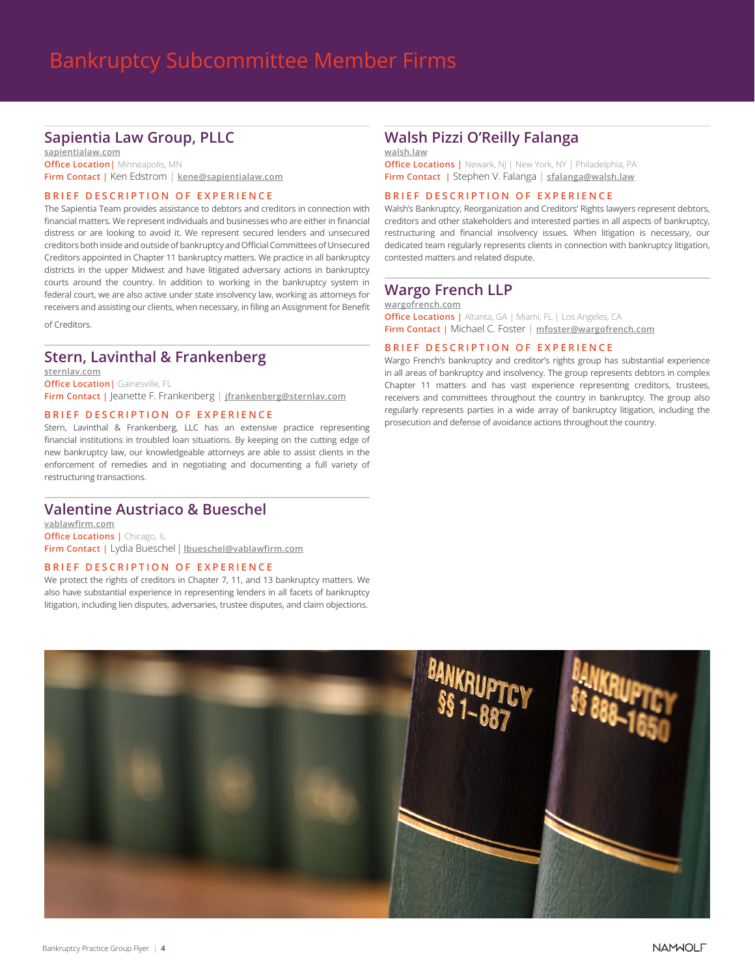# Sapientia Law Group, PLLC

sapientialaw.com **Office Location** | Minneapolis, MN Firm Contact | Ken Edstrom | kene@sapientialaw.com

### BRIEF DESCRIPTION OF EXPERIENCE

The Sapientia Team provides assistance to debtors and creditors in connection with financial matters. We represent individuals and businesses who are either in financial distress or are looking to avoid it. We represent secured lenders and unsecured creditors both inside and outside of bankruptcy and Official Committees of Unsecured Creditors appointed in Chapter 11 bankruptcy matters. We practice in all bankruptcy districts in the upper Midwest and have litigated adversary actions in bankruptcy courts around the country. In addition to working in the bankruptcy system in federal court, we are also active under state insolvency law, working as attorneys for receivers and assisting our clients, when necessary, in filing an Assignment for Benefit

of Creditors.

# Stern, Lavinthal & Frankenberg

sternlav.com **Office Location | Gainesville, FL** Firm Contact | Jeanette F. Frankenberg | jfrankenberg@sternlav.com

#### BRIEF DESCRIPTION OF EXPERIENCE

Stern, Lavinthal & Frankenberg, LLC has an extensive practice representing financial institutions in troubled loan situations. By keeping on the cutting edge of new bankruptcy law, our knowledgeable attorneys are able to assist clients in the enforcement of remedies and in negotiating and documenting a full variety of restructuring transactions.

### Valentine Austriaco & Bueschel

vablawfirm.com **Office Locations | Chicago, IL** Firm Contact | Lydia Bueschel | Ibueschel@vablawfirm.com

### BRIEF DESCRIPTION OF EXPERIENCE

We protect the rights of creditors in Chapter 7, 11, and 13 bankruptcy matters. We also have substantial experience in representing lenders in all facets of bankruptcy litigation, including lien disputes, adversaries, trustee disputes, and claim objections.

# Walsh Pizzi O'Reilly Falanga

wals[h.l](http://www.rllaz.com)aw

**Office Locations |** Newark, NJ | New York, NY | Philadelphia, PA Firm Contact | Stephen V. Falanga | sfalanga[@walsh.law](mailto:treckart@rllaz.com )

### [BRIEF DESCRIPTION OF EXPERIENCE](mailto:treckart@rllaz.com )

[Walsh's Bankruptcy, Reorganization and Creditors' Rights lawyers represent debtors,](mailto:treckart@rllaz.com ) [creditors and other stakeholders and interested parties in all aspects of bankruptcy,](mailto:treckart@rllaz.com ) [restructuring and financial insolvency issues. When litigation is necessary, our](mailto:treckart@rllaz.com )  [dedicated team regularly represents clients in connection with bankruptcy litigation,](mailto:treckart@rllaz.com )  [contested matters and related dispute.](mailto:treckart@rllaz.com )

### Wargo French LLP

[wargofrench.com](http://www.rllaz.com)

**Office Locations | Altanta, GA | Miami, FL | Los Angeles, CA** Firm Contact | Michael C. Foster | mfoster@wargofrench.com

### BRIEF DESCRIPTION OF EXPERIENCE

Wargo French's bankruptcy and creditor's rights group has substantial experience in all areas of bankruptcy and insolvency. The group represents debtors in complex Chapter 11 matters and has vast experience representing creditors, trustees, receivers and committees throughout the country in bankruptcy. The group also regularly represents parties in a wide array of bankruptcy litigation, including the prosecution and defense of avoidance actions throughout the country.